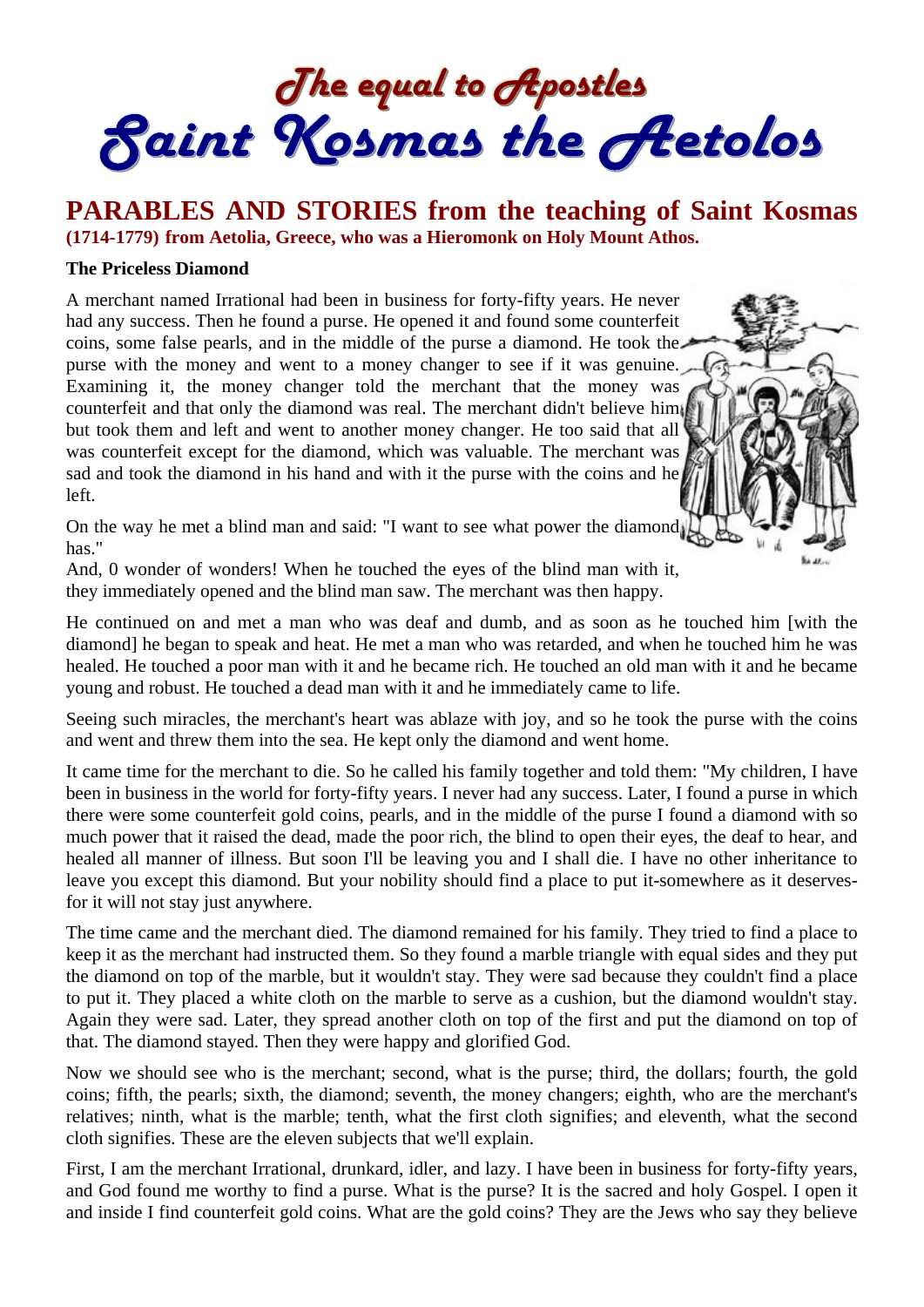The equal to Apostles<br>Saint Kosmas the Aetolos

**PARABLES AND STORIES from the teaching of Saint Kosmas (1714-1779) from Aetolia, Greece, who was a Hieromonk on Holy Mount Athos.** 

#### **The Priceless Diamond**

A merchant named Irrational had been in business for forty-fifty years. He never had any success. Then he found a purse. He opened it and found some counterfeit coins, some false pearls, and in the middle of the purse a diamond. He took the purse with the money and went to a money changer to see if it was genuine. Examining it, the money changer told the merchant that the money was counterfeit and that only the diamond was real. The merchant didn't believe him but took them and left and went to another money changer. He too said that all was counterfeit except for the diamond, which was valuable. The merchant was sad and took the diamond in his hand and with it the purse with the coins and he left.



On the way he met a blind man and said: "I want to see what power the diamond has."

And, 0 wonder of wonders! When he touched the eyes of the blind man with it, they immediately opened and the blind man saw. The merchant was then happy.

He continued on and met a man who was deaf and dumb, and as soon as he touched him [with the diamond] he began to speak and heat. He met a man who was retarded, and when he touched him he was healed. He touched a poor man with it and he became rich. He touched an old man with it and he became young and robust. He touched a dead man with it and he immediately came to life.

Seeing such miracles, the merchant's heart was ablaze with joy, and so he took the purse with the coins and went and threw them into the sea. He kept only the diamond and went home.

It came time for the merchant to die. So he called his family together and told them: "My children, I have been in business in the world for forty-fifty years. I never had any success. Later, I found a purse in which there were some counterfeit gold coins, pearls, and in the middle of the purse I found a diamond with so much power that it raised the dead, made the poor rich, the blind to open their eyes, the deaf to hear, and healed all manner of illness. But soon I'll be leaving you and I shall die. I have no other inheritance to leave you except this diamond. But your nobility should find a place to put it-somewhere as it deservesfor it will not stay just anywhere.

The time came and the merchant died. The diamond remained for his family. They tried to find a place to keep it as the merchant had instructed them. So they found a marble triangle with equal sides and they put the diamond on top of the marble, but it wouldn't stay. They were sad because they couldn't find a place to put it. They placed a white cloth on the marble to serve as a cushion, but the diamond wouldn't stay. Again they were sad. Later, they spread another cloth on top of the first and put the diamond on top of that. The diamond stayed. Then they were happy and glorified God.

Now we should see who is the merchant; second, what is the purse; third, the dollars; fourth, the gold coins; fifth, the pearls; sixth, the diamond; seventh, the money changers; eighth, who are the merchant's relatives; ninth, what is the marble; tenth, what the first cloth signifies; and eleventh, what the second cloth signifies. These are the eleven subjects that we'll explain.

First, I am the merchant Irrational, drunkard, idler, and lazy. I have been in business for forty-fifty years, and God found me worthy to find a purse. What is the purse? It is the sacred and holy Gospel. I open it and inside I find counterfeit gold coins. What are the gold coins? They are the Jews who say they believe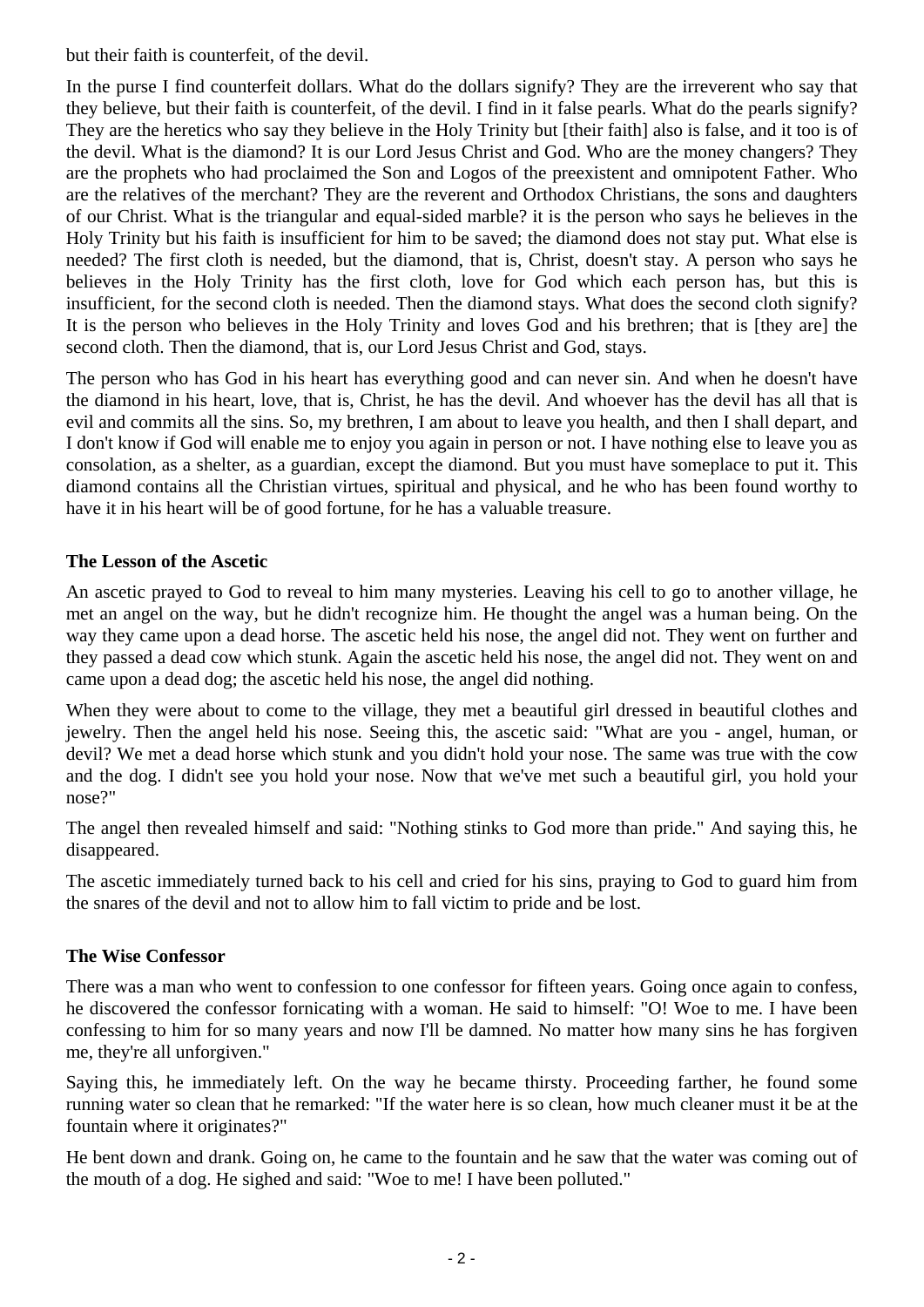but their faith is counterfeit, of the devil.

In the purse I find counterfeit dollars. What do the dollars signify? They are the irreverent who say that they believe, but their faith is counterfeit, of the devil. I find in it false pearls. What do the pearls signify? They are the heretics who say they believe in the Holy Trinity but [their faith] also is false, and it too is of the devil. What is the diamond? It is our Lord Jesus Christ and God. Who are the money changers? They are the prophets who had proclaimed the Son and Logos of the preexistent and omnipotent Father. Who are the relatives of the merchant? They are the reverent and Orthodox Christians, the sons and daughters of our Christ. What is the triangular and equal-sided marble? it is the person who says he believes in the Holy Trinity but his faith is insufficient for him to be saved; the diamond does not stay put. What else is needed? The first cloth is needed, but the diamond, that is, Christ, doesn't stay. A person who says he believes in the Holy Trinity has the first cloth, love for God which each person has, but this is insufficient, for the second cloth is needed. Then the diamond stays. What does the second cloth signify? It is the person who believes in the Holy Trinity and loves God and his brethren; that is [they are] the second cloth. Then the diamond, that is, our Lord Jesus Christ and God, stays.

The person who has God in his heart has everything good and can never sin. And when he doesn't have the diamond in his heart, love, that is, Christ, he has the devil. And whoever has the devil has all that is evil and commits all the sins. So, my brethren, I am about to leave you health, and then I shall depart, and I don't know if God will enable me to enjoy you again in person or not. I have nothing else to leave you as consolation, as a shelter, as a guardian, except the diamond. But you must have someplace to put it. This diamond contains all the Christian virtues, spiritual and physical, and he who has been found worthy to have it in his heart will be of good fortune, for he has a valuable treasure.

# **The Lesson of the Ascetic**

An ascetic prayed to God to reveal to him many mysteries. Leaving his cell to go to another village, he met an angel on the way, but he didn't recognize him. He thought the angel was a human being. On the way they came upon a dead horse. The ascetic held his nose, the angel did not. They went on further and they passed a dead cow which stunk. Again the ascetic held his nose, the angel did not. They went on and came upon a dead dog; the ascetic held his nose, the angel did nothing.

When they were about to come to the village, they met a beautiful girl dressed in beautiful clothes and jewelry. Then the angel held his nose. Seeing this, the ascetic said: "What are you - angel, human, or devil? We met a dead horse which stunk and you didn't hold your nose. The same was true with the cow and the dog. I didn't see you hold your nose. Now that we've met such a beautiful girl, you hold your nose?"

The angel then revealed himself and said: "Nothing stinks to God more than pride." And saying this, he disappeared.

The ascetic immediately turned back to his cell and cried for his sins, praying to God to guard him from the snares of the devil and not to allow him to fall victim to pride and be lost.

## **The Wise Confessor**

There was a man who went to confession to one confessor for fifteen years. Going once again to confess, he discovered the confessor fornicating with a woman. He said to himself: "O! Woe to me. I have been confessing to him for so many years and now I'll be damned. No matter how many sins he has forgiven me, they're all unforgiven."

Saying this, he immediately left. On the way he became thirsty. Proceeding farther, he found some running water so clean that he remarked: "If the water here is so clean, how much cleaner must it be at the fountain where it originates?"

He bent down and drank. Going on, he came to the fountain and he saw that the water was coming out of the mouth of a dog. He sighed and said: "Woe to me! I have been polluted."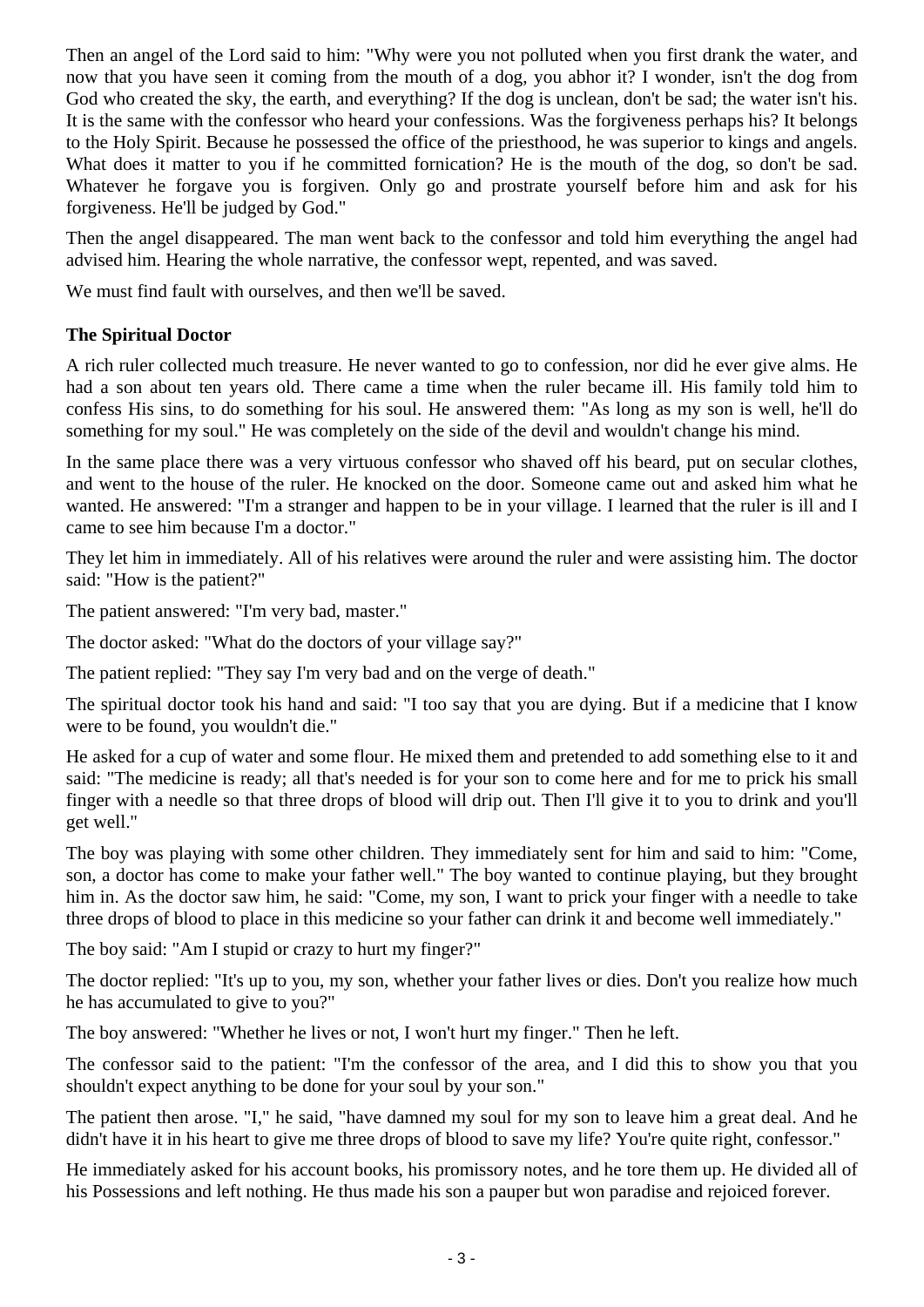Then an angel of the Lord said to him: "Why were you not polluted when you first drank the water, and now that you have seen it coming from the mouth of a dog, you abhor it? I wonder, isn't the dog from God who created the sky, the earth, and everything? If the dog is unclean, don't be sad; the water isn't his. It is the same with the confessor who heard your confessions. Was the forgiveness perhaps his? It belongs to the Holy Spirit. Because he possessed the office of the priesthood, he was superior to kings and angels. What does it matter to you if he committed fornication? He is the mouth of the dog, so don't be sad. Whatever he forgave you is forgiven. Only go and prostrate yourself before him and ask for his forgiveness. He'll be judged by God."

Then the angel disappeared. The man went back to the confessor and told him everything the angel had advised him. Hearing the whole narrative, the confessor wept, repented, and was saved.

We must find fault with ourselves, and then we'll be saved.

## **The Spiritual Doctor**

A rich ruler collected much treasure. He never wanted to go to confession, nor did he ever give alms. He had a son about ten years old. There came a time when the ruler became ill. His family told him to confess His sins, to do something for his soul. He answered them: "As long as my son is well, he'll do something for my soul." He was completely on the side of the devil and wouldn't change his mind.

In the same place there was a very virtuous confessor who shaved off his beard, put on secular clothes, and went to the house of the ruler. He knocked on the door. Someone came out and asked him what he wanted. He answered: "I'm a stranger and happen to be in your village. I learned that the ruler is ill and I came to see him because I'm a doctor."

They let him in immediately. All of his relatives were around the ruler and were assisting him. The doctor said: "How is the patient?"

The patient answered: "I'm very bad, master."

The doctor asked: "What do the doctors of your village say?"

The patient replied: "They say I'm very bad and on the verge of death."

The spiritual doctor took his hand and said: "I too say that you are dying. But if a medicine that I know were to be found, you wouldn't die."

He asked for a cup of water and some flour. He mixed them and pretended to add something else to it and said: "The medicine is ready; all that's needed is for your son to come here and for me to prick his small finger with a needle so that three drops of blood will drip out. Then I'll give it to you to drink and you'll get well."

The boy was playing with some other children. They immediately sent for him and said to him: "Come, son, a doctor has come to make your father well." The boy wanted to continue playing, but they brought him in. As the doctor saw him, he said: "Come, my son, I want to prick your finger with a needle to take three drops of blood to place in this medicine so your father can drink it and become well immediately."

The boy said: "Am I stupid or crazy to hurt my finger?"

The doctor replied: "It's up to you, my son, whether your father lives or dies. Don't you realize how much he has accumulated to give to you?"

The boy answered: "Whether he lives or not, I won't hurt my finger." Then he left.

The confessor said to the patient: "I'm the confessor of the area, and I did this to show you that you shouldn't expect anything to be done for your soul by your son."

The patient then arose. "I," he said, "have damned my soul for my son to leave him a great deal. And he didn't have it in his heart to give me three drops of blood to save my life? You're quite right, confessor."

He immediately asked for his account books, his promissory notes, and he tore them up. He divided all of his Possessions and left nothing. He thus made his son a pauper but won paradise and rejoiced forever.